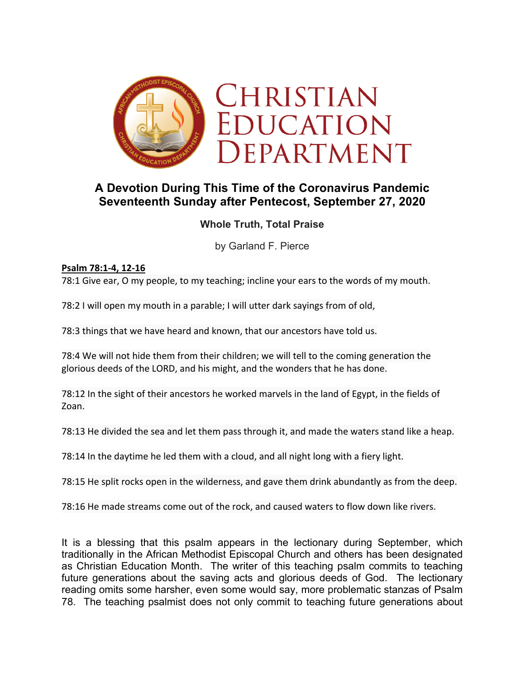

# **A Devotion During This Time of the Coronavirus Pandemic Seventeenth Sunday after Pentecost, September 27, 2020**

### **Whole Truth, Total Praise**

by Garland F. Pierce

#### **Psalm 78:1-4, 12-16**

78:1 Give ear, O my people, to my teaching; incline your ears to the words of my mouth.

78:2 I will open my mouth in a parable; I will utter dark sayings from of old,

78:3 things that we have heard and known, that our ancestors have told us.

78:4 We will not hide them from their children; we will tell to the coming generation the glorious deeds of the LORD, and his might, and the wonders that he has done.

78:12 In the sight of their ancestors he worked marvels in the land of Egypt, in the fields of Zoan.

78:13 He divided the sea and let them pass through it, and made the waters stand like a heap.

78:14 In the daytime he led them with a cloud, and all night long with a fiery light.

78:15 He split rocks open in the wilderness, and gave them drink abundantly as from the deep.

78:16 He made streams come out of the rock, and caused waters to flow down like rivers.

It is a blessing that this psalm appears in the lectionary during September, which traditionally in the African Methodist Episcopal Church and others has been designated as Christian Education Month. The writer of this teaching psalm commits to teaching future generations about the saving acts and glorious deeds of God. The lectionary reading omits some harsher, even some would say, more problematic stanzas of Psalm 78. The teaching psalmist does not only commit to teaching future generations about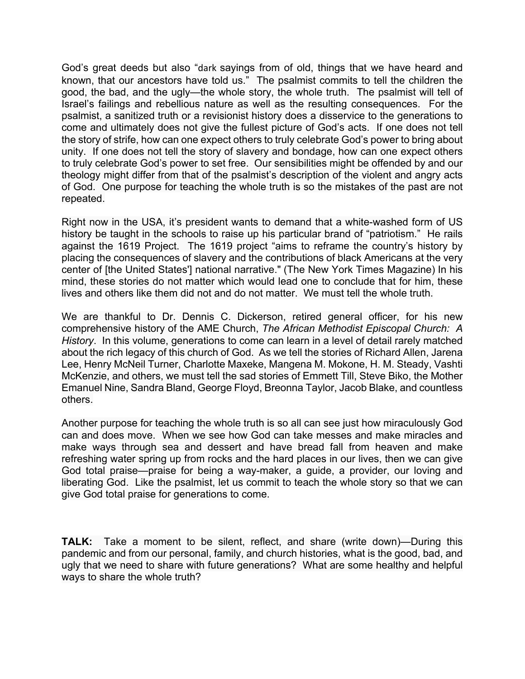God's great deeds but also "dark sayings from of old, things that we have heard and known, that our ancestors have told us." The psalmist commits to tell the children the good, the bad, and the ugly—the whole story, the whole truth. The psalmist will tell of Israel's failings and rebellious nature as well as the resulting consequences. For the psalmist, a sanitized truth or a revisionist history does a disservice to the generations to come and ultimately does not give the fullest picture of God's acts. If one does not tell the story of strife, how can one expect others to truly celebrate God's power to bring about unity. If one does not tell the story of slavery and bondage, how can one expect others to truly celebrate God's power to set free. Our sensibilities might be offended by and our theology might differ from that of the psalmist's description of the violent and angry acts of God. One purpose for teaching the whole truth is so the mistakes of the past are not repeated.

Right now in the USA, it's president wants to demand that a white-washed form of US history be taught in the schools to raise up his particular brand of "patriotism." He rails against the 1619 Project. The 1619 project "aims to reframe the country's history by placing the consequences of slavery and the contributions of black Americans at the very center of [the United States'] national narrative." (The New York Times Magazine) In his mind, these stories do not matter which would lead one to conclude that for him, these lives and others like them did not and do not matter. We must tell the whole truth.

We are thankful to Dr. Dennis C. Dickerson, retired general officer, for his new comprehensive history of the AME Church, *The African Methodist Episcopal Church: A History*. In this volume, generations to come can learn in a level of detail rarely matched about the rich legacy of this church of God. As we tell the stories of Richard Allen, Jarena Lee, Henry McNeil Turner, Charlotte Maxeke, Mangena M. Mokone, H. M. Steady, Vashti McKenzie, and others, we must tell the sad stories of Emmett Till, Steve Biko, the Mother Emanuel Nine, Sandra Bland, George Floyd, Breonna Taylor, Jacob Blake, and countless others.

Another purpose for teaching the whole truth is so all can see just how miraculously God can and does move. When we see how God can take messes and make miracles and make ways through sea and dessert and have bread fall from heaven and make refreshing water spring up from rocks and the hard places in our lives, then we can give God total praise—praise for being a way-maker, a guide, a provider, our loving and liberating God. Like the psalmist, let us commit to teach the whole story so that we can give God total praise for generations to come.

**TALK:** Take a moment to be silent, reflect, and share (write down)—During this pandemic and from our personal, family, and church histories, what is the good, bad, and ugly that we need to share with future generations? What are some healthy and helpful ways to share the whole truth?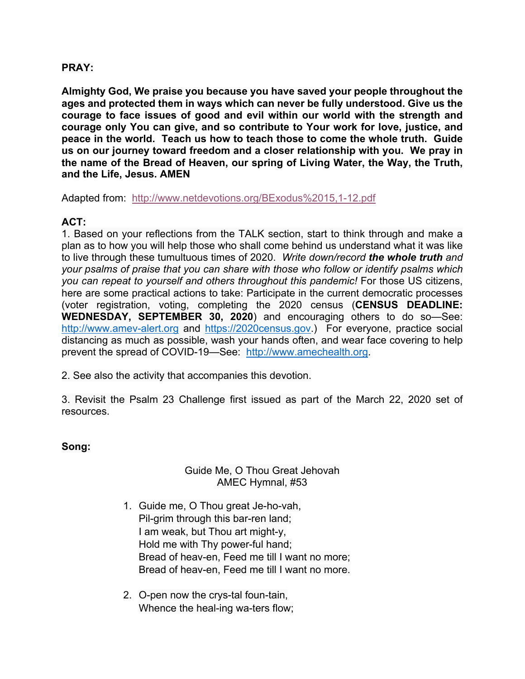#### **PRAY:**

**Almighty God, We praise you because you have saved your people throughout the ages and protected them in ways which can never be fully understood. Give us the courage to face issues of good and evil within our world with the strength and courage only You can give, and so contribute to Your work for love, justice, and peace in the world. Teach us how to teach those to come the whole truth. Guide us on our journey toward freedom and a closer relationship with you. We pray in the name of the Bread of Heaven, our spring of Living Water, the Way, the Truth, and the Life, Jesus. AMEN** 

Adapted from: http://www.netdevotions.org/BExodus%2015,1-12.pdf

## **ACT:**

1. Based on your reflections from the TALK section, start to think through and make a plan as to how you will help those who shall come behind us understand what it was like to live through these tumultuous times of 2020. *Write down/record the whole truth and your psalms of praise that you can share with those who follow or identify psalms which you can repeat to yourself and others throughout this pandemic!* For those US citizens, here are some practical actions to take: Participate in the current democratic processes (voter registration, voting, completing the 2020 census (**CENSUS DEADLINE: WEDNESDAY, SEPTEMBER 30, 2020**) and encouraging others to do so—See: http://www.amev-alert.org and https://2020census.gov.) For everyone, practice social distancing as much as possible, wash your hands often, and wear face covering to help prevent the spread of COVID-19—See: http://www.amechealth.org.

2. See also the activity that accompanies this devotion.

3. Revisit the Psalm 23 Challenge first issued as part of the March 22, 2020 set of resources.

#### **Song:**

#### Guide Me, O Thou Great Jehovah AMEC Hymnal, #53

- 1. Guide me, O Thou great Je-ho-vah, Pil-grim through this bar-ren land; I am weak, but Thou art might-y, Hold me with Thy power-ful hand; Bread of heav-en, Feed me till I want no more; Bread of heav-en, Feed me till I want no more.
- 2. O-pen now the crys-tal foun-tain, Whence the heal-ing wa-ters flow;